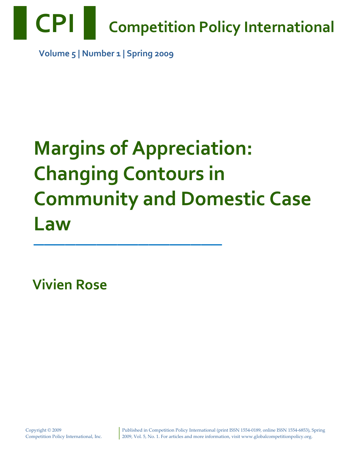

 **Volume 5 | Number 1 | Spring 2009**

# **Margins of Appreciation: Changing Contours in Community and Domestic Case Law**

**——————————————————**

**Vivien Rose**

Published in Competition Policy International (print ISSN 1554‐0189, online ISSN 1554‐6853), Spring 2009, Vol. 5, No. 1. For articles and more information, visit www.globalcompetitionpolicy.org.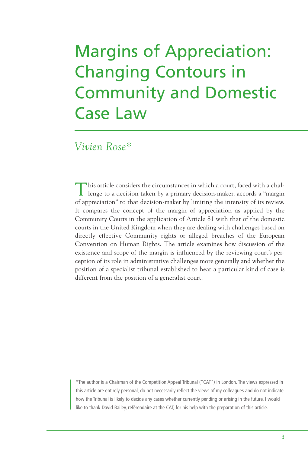# Margins of Appreciation: Changing Contours in Community and Domestic Case Law

#### *Vivien Rose\**

This article considers the circumstances in which a court, faced with a challenge to a decision taken by a primary decision-maker, accords a "margin of appreciation" to that decision-maker by limiting the intensity of its review. It compares the concept of the margin of appreciation as applied by the Community Courts in the application of Article 81 with that of the domestic courts in the United Kingdom when they are dealing with challenges based on directly effective Community rights or alleged breaches of the European Convention on Human Rights. The article examines how discussion of the existence and scope of the margin is influenced by the reviewing court's perception of its role in administrative challenges more generally and whether the position of a specialist tribunal established to hear a particular kind of case is different from the position of a generalist court.

\*The author is a Chairman of the Competition Appeal Tribunal ("CAT") in London. The views expressed in this article are entirely personal, do not necessarily reflect the views of my colleagues and do not indicate how the Tribunal is likely to decide any cases whether currently pending or arising in the future. I would like to thank David Bailey, référendaire at the CAT, for his help with the preparation of this article.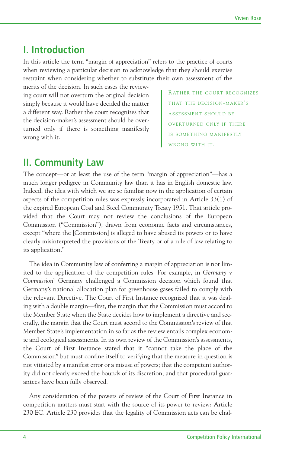#### **I. Introduction**

In this article the term "margin of appreciation" refers to the practice of courts when reviewing a particular decision to acknowledge that they should exercise restraint when considering whether to substitute their own assessment of the

merits of the decision. In such cases the reviewing court will not overturn the original decision simply because it would have decided the matter a different way. Rather the court recognizes that the decision-maker's assessment should be overturned only if there is something manifestly wrong with it.

RATHER THE COURT RECOGNIZES THAT THE DECISION-MAKER'S ASSESSMENT SHOULD BE OVERTURNED ONLY IF THERE IS SOMETHING MANIFESTLY WRONG WITH IT.

#### **II. Community Law**

The concept—or at least the use of the term "margin of appreciation"—has a much longer pedigree in Community law than it has in English domestic law. Indeed, the idea with which we are so familiar now in the application of certain aspects of the competition rules was expressly incorporated in Article 33(1) of the expired European Coal and Steel Community Treaty 1951. That article provided that the Court may not review the conclusions of the European Commission ("Commission"), drawn from economic facts and circumstances, except "where the [Commission] is alleged to have abused its powers or to have clearly misinterpreted the provisions of the Treaty or of a rule of law relating to its application."

The idea in Community law of conferring a margin of appreciation is not limited to the application of the competition rules. For example, in *Germany* v *Commission*<sup>1</sup> Germany challenged a Commission decision which found that Germany's national allocation plan for greenhouse gases failed to comply with the relevant Directive. The Court of First Instance recognized that it was dealing with a double margin—first, the margin that the Commission must accord to the Member State when the State decides how to implement a directive and secondly, the margin that the Court must accord to the Commission's review of that Member State's implementation in so far as the review entails complex economic and ecological assessments. In its own review of the Commission's assessments, the Court of First Instance stated that it "cannot take the place of the Commission" but must confine itself to verifying that the measure in question is not vitiated by a manifest error or a misuse of powers; that the competent authority did not clearly exceed the bounds of its discretion; and that procedural guarantees have been fully observed.

Any consideration of the powers of review of the Court of First Instance in competition matters must start with the source of its power to review: Article 230 EC. Article 230 provides that the legality of Commission acts can be chal-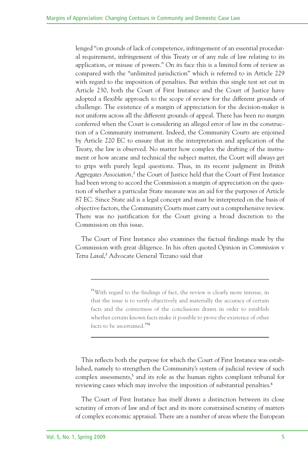lenged "on grounds of lack of competence, infringement of an essential procedural requirement, infringement of this Treaty or of any rule of law relating to its application, or misuse of powers." On its face this is a limited form of review as compared with the "unlimited jurisdiction" which is referred to in Article 229 with regard to the imposition of penalties. But within this single test set out in Article 230, both the Court of First Instance and the Court of Justice have adopted a flexible approach to the scope of review for the different grounds of challenge. The existence of a margin of appreciation for the decision-maker is not uniform across all the different grounds of appeal. There has been no margin conferred when the Court is considering an alleged error of law in the construction of a Community instrument. Indeed, the Community Courts are enjoined by Article 220 EC to ensure that in the interpretation and application of the Treaty, the law is observed. No matter how complex the drafting of the instrument or how arcane and technical the subject matter, the Court will always get to grips with purely legal questions. Thus, in its recent judgment in *British Aggregates Association,* <sup>2</sup> the Court of Justice held that the Court of First Instance had been wrong to accord the Commission a margin of appreciation on the question of whether a particular State measure was an aid for the purposes of Article 87 EC. Since State aid is a legal concept and must be interpreted on the basis of objective factors, the Community Courts must carry out a comprehensive review. There was no justification for the Court giving a broad discretion to the Commission on this issue.

The Court of First Instance also examines the factual findings made by the Commission with great diligence. In his often quoted Opinion in *Commission* v *Tetra Laval*, <sup>3</sup> Advocate General Tizzano said that

"With regard to the findings of fact, the review is clearly more intense, in that the issue is to verify objectively and materially the accuracy of certain facts and the correctness of the conclusions drawn in order to establish whether certain known facts make it possible to prove the existence of other facts to be ascertained."<sup>4</sup>

This reflects both the purpose for which the Court of First Instance was established, namely to strengthen the Community's system of judicial review of such complex assessments, <sup>5</sup> and its role as the human rights compliant tribunal for reviewing cases which may involve the imposition of substantial penalties. 6

The Court of First Instance has itself drawn a distinction between its close scrutiny of errors of law and of fact and its more constrained scrutiny of matters of complex economic appraisal. There are a number of areas where the European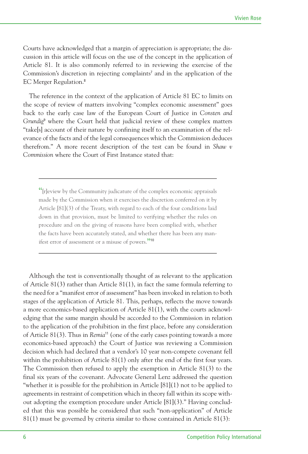Courts have acknowledged that a margin of appreciation is appropriate; the discussion in this article will focus on the use of the concept in the application of Article 81. It is also commonly referred to in reviewing the exercise of the Commission's discretion in rejecting complaints<sup>7</sup> and in the application of the EC Merger Regulation.<sup>8</sup>

The reference in the context of the application of Article 81 EC to limits on the scope of review of matters involving "complex economic assessment" goes back to the early case law of the European Court of Justice in *Consten and Grundig*<sup>9</sup> where the Court held that judicial review of these complex matters "take[s] account of their nature by confining itself to an examination of the relevance of the facts and of the legal consequences which the Commission deduces therefrom." A more recent description of the test can be found in *Shaw v Commission* where the Court of First Instance stated that:

"[r]eview by the Community judicature of the complex economic appraisals made by the Commission when it exercises the discretion conferred on it by Article [81](3) of the Treaty, with regard to each of the four conditions laid down in that provision, must be limited to verifying whether the rules on procedure and on the giving of reasons have been complied with, whether the facts have been accurately stated, and whether there has been any manifest error of assessment or <sup>a</sup> misuse of powers." 10

Although the test is conventionally thought of as relevant to the application of Article 81(3) rather than Article 81(1), in fact the same formula referring to the need for a "manifest error of assessment" has been invoked in relation to both stages of the application of Article 81. This, perhaps, reflects the move towards a more economics-based application of Article 81(1), with the courts acknowledging that the same margin should be accorded to the Commission in relation to the application of the prohibition in the first place, before any consideration of Article 81(3). Thus in *Remia*<sup>11</sup> (one of the early cases pointing towards a more economics-based approach) the Court of Justice was reviewing a Commission decision which had declared that a vendor's 10 year non-compete covenant fell within the prohibition of Article 81(1) only after the end of the first four years. The Commission then refused to apply the exemption in Article 81(3) to the final six years of the covenant. Advocate General Lenz addressed the question "whether it is possible for the prohibition in Article  $[81](1)$  not to be applied to agreements in restraint of competition which in theory fall within its scope without adopting the exemption procedure under Article [81](3)." Having concluded that this was possible he considered that such "non-application" of Article 81(1) must be governed by criteria similar to those contained in Article 81(3):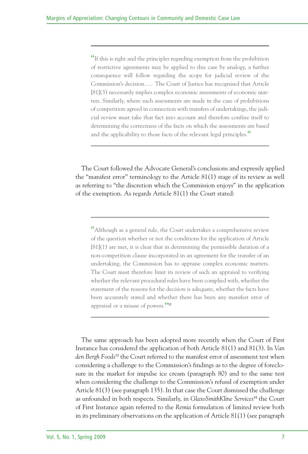"If this is right and the principles regarding exemption from the prohibition of restrictive agreements may be applied to this case by analogy, a further consequence will follow regarding the scope for judicial review of the Commission's decision.... The Court of Justice has recognised that Article [81](3) necessarily implies complex economic assessments of economic matters. Similarly, where such assessments are made in the case of prohibitions of competition agreed in connection with transfers of undertakings, the judicial review must take that fact into account and therefore confine itself to determining the correctness of the facts on which the assessments are based and the applicability to those facts of the relevant legal principles."

The Court followed the Advocate General's conclusions and expressly applied the "manifest error" terminology to the Article 81(1) stage of its review as well as referring to "the discretion which the Commission enjoys" in the application of the exemption. As regards Article 81(1) the Court stated:

"Although as <sup>a</sup> general rule, the Court undertakes <sup>a</sup> comprehensive review of the question whether or not the conditions for the application of Article [81](1) are met, it is clear that in determining the permissible duration of a non-competition clause incorporated in an agreement for the transfer of an undertaking, the Commission has to appraise complex economic matters. The Court must therefore limit its review of such an appraisal to verifying whether the relevant procedural rules have been complied with, whether the statement of the reasons for the decision is adequate, whether the facts have been accurately stated and whether there has been any manifest error of appraisal or a misuse of powers."

The same approach has been adopted more recently when the Court of First Instance has considered the application of both Article 81(1) and 81(3). In *Van den Bergh Foods* <sup>13</sup> the Court referred to the manifest error of assessment test when considering a challenge to the Commission's findings as to the degree of foreclosure in the market for impulse ice cream (paragraph 80) and to the same test when considering the challenge to the Commission's refusal of exemption under Article 81(3) (see paragraph 135). In that case the Court dismissed the challenge as unfounded in both respects. Similarly, in *GlaxoSmithKline Services* <sup>14</sup> the Court of First Instance again referred to the *Remia* formulation of limited review both in its preliminary observations on the application of Article 81(1) (see paragraph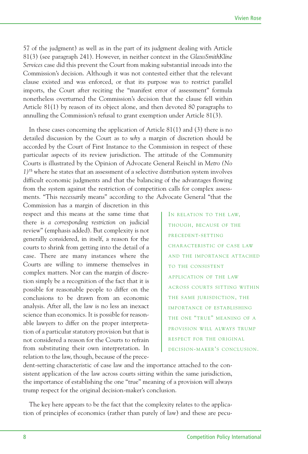57 of the judgment) as well as in the part of its judgment dealing with Article 81(3) (see paragraph 241). However, in neither context in the *GlaxoSmithKline Services* case did this prevent the Court from making substantial inroads into the Commission's decision. Although it was not contested either that the relevant clause existed and was enforced, or that its purpose was to restrict parallel imports, the Court after reciting the "manifest error of assessment" formula nonetheless overturned the Commission's decision that the clause fell within Article 81(1) by reason of its object alone, and then devoted 80 paragraphs to annulling the Commission's refusal to grant exemption under Article 81(3).

In these cases concerning the application of Article 81(1) and (3) there is no detailed discussion by the Court as to *why* a margin of discretion should be accorded by the Court of First Instance to the Commission in respect of these particular aspects of its review jurisdiction. The attitude of the Community Courts is illustrated by the Opinion of Advocate General Reischl in *Metro (No 1)*<sup>15</sup> where he states that an assessment of a selective distribution system involves difficult economic judgments and that the balancing of the advantages flowing from the system against the restriction of competition calls for complex assessments. "This *necessarily* means" according to the Advocate General "that the

Commission has a margin of discretion in this respect and this means at the same time that there is *a corresponding restriction* on judicial review" (emphasis added). But complexity is not generally considered, in itself, a reason for the courts to shrink from getting into the detail of a case. There are many instances where the Courts are willing to immerse themselves in complex matters. Nor can the margin of discretion simply be a recognition of the fact that it is possible for reasonable people to differ on the conclusions to be drawn from an economic analysis. After all, the law is no less an inexact science than economics. It is possible for reasonable lawyers to differ on the proper interpretation of a particular statutory provision but that is not considered a reason for the Courts to refrain from substituting their own interpretation. In relation to the law, though, because of the prece-

IN RELATION TO THE LAW, THOUGH, BECAUSE OF THE PRECEDENT-SETTING CHARACTERISTIC OF CASE LAW AND THE IMPORTANCE ATTACHED TO THE CONSISTENT APPLICATION OF THE LAW ACROSS COURTS SITTING WITHIN THE SAME JURISDICTION, THE IMPORTANCE OF ESTABLISHING THE ONE "TRUE" MEANING OF A PROVISION WILL ALWAYS TRUMP RESPECT FOR THE ORIGINAL DECISION-MAKER'S CONCLUSION.

dent-setting characteristic of case law and the importance attached to the consistent application of the law across courts sitting within the same jurisdiction, the importance of establishing the one "true" meaning of a provision will always trump respect for the original decision-maker's conclusion.

The key here appears to be the fact that the complexity relates to the application of principles of economics (rather than purely of law) and these are pecu-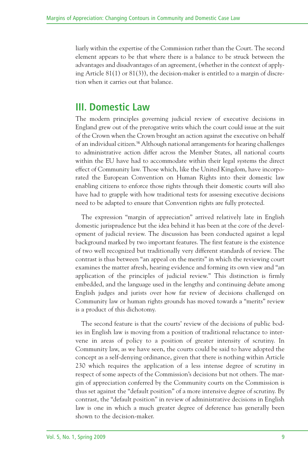liarly within the expertise of the Commission rather than the Court. The second element appears to be that where there is a balance to be struck between the advantages and disadvantages of an agreement, (whether in the context of applying Article 81(1) or 81(3)), the decision-maker is entitled to a margin of discretion when it carries out that balance.

#### **III. Domestic Law**

The modern principles governing judicial review of executive decisions in England grew out of the prerogative writs which the court could issue at the suit of the Crown when the Crown brought an action against the executive on behalf of an individual citizen. <sup>16</sup> Although national arrangements for hearing challenges to administrative action differ across the Member States, all national courts within the EU have had to accommodate within their legal systems the direct effect of Community law. Those which, like the United Kingdom, have incorporated the European Convention on Human Rights into their domestic law enabling citizens to enforce those rights through their domestic courts will also have had to grapple with how traditional tests for assessing executive decisions need to be adapted to ensure that Convention rights are fully protected.

The expression "margin of appreciation" arrived relatively late in English domestic jurisprudence but the idea behind it has been at the core of the development of judicial review. The discussion has been conducted against a legal background marked by two important features. The first feature is the existence of two well recognized but traditionally very different standards of review. The contrast is thus between "an appeal on the merits" in which the reviewing court examines the matter afresh, hearing evidence and forming its own view and "an application of the principles of judicial review." This distinction is firmly embedded, and the language used in the lengthy and continuing debate among English judges and jurists over how far review of decisions challenged on Community law or human rights grounds has moved towards a "merits" review is a product of this dichotomy.

The second feature is that the courts' review of the decisions of public bodies in English law is moving from a position of traditional reluctance to intervene in areas of policy to a position of greater intensity of scrutiny. In Community law, as we have seen, the courts could be said to have adopted the concept as a self-denying ordinance, given that there is nothing within Article 230 which requires the application of a less intense degree of scrutiny in respect of some aspects of the Commission's decisions but not others. The margin of appreciation conferred by the Community courts on the Commission is thus set against the "default position" of a more intensive degree of scrutiny. By contrast, the "default position" in review of administrative decisions in English law is one in which a much greater degree of deference has generally been shown to the decision-maker.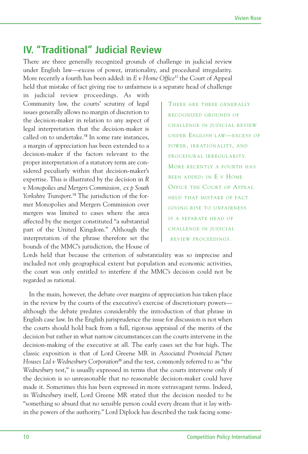#### **IV. "Traditional" Judicial Review**

There are three generally recognized grounds of challenge in judicial review under English law—excess of power, irrationality, and procedural irregularity. More recently a fourth has been added: in *E v Home Office*<sup>17</sup> the Court of Appeal held that mistake of fact giving rise to unfairness is a separate head of challenge

in judicial review proceedings. As with Community law, the courts' scrutiny of legal issues generally allows no margin of discretion to the decision-maker in relation to any aspect of legal interpretation that the decision-maker is called on to undertake. <sup>18</sup> In some rare instances, a margin of appreciation has been extended to a decision-maker if the factors relevant to the proper interpretation of a statutory term are considered peculiarly within that decision-maker's expertise. This is illustrated by the decision in *R v Monopolies and Mergers Commission, ex p South Yorkshire Transport*. <sup>19</sup> The jurisdiction of the former Monopolies and Mergers Commission over mergers was limited to cases where the area affected by the merger constituted "a substantial part of the United Kingdom." Although the interpretation of the phrase therefore set the bounds of the MMC's jurisdiction, the House of

THERE ARE THREE GENERALLY RECOGNIZED GROUNDS OF CHALLENGE IN JUDICIAL REVIEW UNDER ENGLISH LAW—EXCESS OF POWER, IRRATIONALITY, AND PROCEDURAL IRREGULARITY. MORE RECENTLY A FOURTH HAS BEEN ADDED: IN E V HOME OFFICE THE COURT OF APPEAL HELD THAT MISTAKE OF FACT GIVING RISE TO UNFAIRNESS IS A SEPARATE HEAD OF CHALLENGE IN JUDICIAL REVIEW PROCEEDINGS.

Lords held that because the criterion of substantiality was so imprecise and included not only geographical extent but population and economic activities, the court was only entitled to interfere if the MMC's decision could not be regarded as rational.

In the main, however, the debate over margins of appreciation has taken place in the review by the courts of the executive's exercise of discretionary powers although the debate predates considerably the introduction of that phrase in English case law. In the English jurisprudence the issue for discussion is not when the courts should hold back from a full, rigorous appraisal of the merits of the decision but rather in what narrow circumstances can the courts intervene in the decision-making of the executive at all. The early cases set the bar high. The classic exposition is that of Lord Greene MR in *Associated Provincial Picture Houses Ltd v Wednesbury Corporation*<sup>20</sup> and the test, commonly referred to as "the *Wednesbury* test," is usually expressed in terms that the courts intervene only if the decision is so unreasonable that no reasonable decision-maker could have made it. Sometimes this has been expressed in more extravagant terms. Indeed, in *Wednesbury* itself, Lord Greene MR stated that the decision needed to be "something so absurd that no sensible person could every dream that it lay within the powers of the authority." Lord Diplock has described the task facing some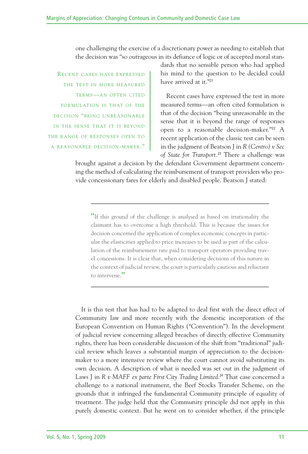one challenging the exercise of a discretionary power as needing to establish that the decision was "so outrageous in its defiance of logic or of accepted moral stan-

RECENT CASES HAVE EXPRESSED THE TEST IN MORE MEASURED TERMS—AN OFTEN CITED FORMULATION IS THAT OF THE DECISION "BEING UNREASONABLE IN THE SENSE THAT IT IS BEYOND THE RANGE OF RESPONSES OPEN TO A REASONABLE DECISION-MAKER."

dards that no sensible person who had applied his mind to the question to be decided could have arrived at it."<sup>21</sup>

Recent cases have expressed the test in more measured terms—an often cited formulation is that of the decision "being unreasonable in the sense that it is beyond the range of responses open to a reasonable decision-maker."<sup>22</sup> A recent application of the classic test can be seen in the judgment of Beatson J in *R (Centro) v Sec of State for Transport.* <sup>23</sup> There a challenge was

brought against a decision by the defendant Government department concerning the method of calculating the reimbursement of transport providers who provide concessionary fares for elderly and disabled people. Beatson J stated:

"If this ground of the challenge is analysed as based on irrationality the claimant has to overcome a high threshold. This is because the issues for decision concerned the application of complex economic concepts in particular the elasticities applied to price increases to be used as part of the calculation of the reimbursement rate paid to transport operators providing travel concessions. It is clear that, when considering decisions of this nature in the context of judicial review, the court is particularly cautious and reluctant to intervene."

It is this test that has had to be adapted to deal first with the direct effect of Community law and more recently with the domestic incorporation of the European Convention on Human Rights ("Convention"). In the development of judicial review concerning alleged breaches of directly effective Community rights, there has been considerable discussion of the shift from "traditional" judicial review which leaves a substantial margin of appreciation to the decisionmaker to a more intensive review where the court cannot avoid substituting its own decision. A description of what is needed was set out in the judgment of Laws J in *R v MAFF ex parte First City Trading Limited*. <sup>24</sup> That case concerned a challenge to a national instrument, the Beef Stocks Transfer Scheme, on the grounds that it infringed the fundamental Community principle of equality of treatment. The judge held that the Community principle did not apply in this purely domestic context. But he went on to consider whether, if the principle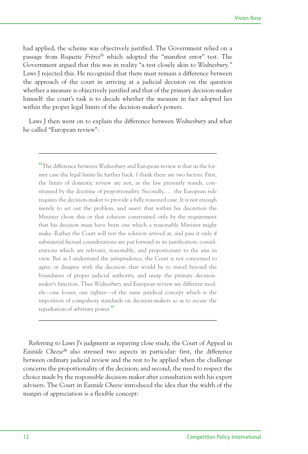had applied, the scheme was objectively justified. The Government relied on a passage from *Roquette Frères* <sup>25</sup> which adopted the "manifest error" test. The Government argued that this was in reality "a test closely akin to *Wednesbury.*" Laws J rejected this. He recognized that there must remain a difference between the approach of the court in arriving at a judicial decision on the question whether a measure is objectively justified and that of the primary decision-maker himself: the court's task is to decide whether the measure in fact adopted lies within the proper legal limits of the decision-maker's powers.

Laws J then went on to explain the difference between *Wednesbury* and what he called "European review":

"The difference between *Wednesbury* and European review is that in the former case the legal limits lie further back. I think there are two factors. First, the limits of domestic review are not, as the law presently stands, constrained by the doctrine of proportionality. Secondly, ... the European rule requires the decision-maker to provide a fully reasoned case. It is not enough merely to set out the problem, and assert that within his discretion the Minister chose this or that solution constrained only by the requirement that his decision must have been one which a reasonable Minister might make. Rather the Court will test the solution arrived at, and pass it only if substantial factual considerations are put forward in its justification: considerations which are relevant, reasonable, and proportionate to the aim in view. But as I understand the jurisprudence, the Court is not concerned to agree or disagree with the decision: that would be to travel beyond the boundaries of proper judicial authority, and usurp the primary decisionmaker's function. Thus *Wednesbury* and European review are different models—one looser, one tighter—of the same juridical concept which is the imposition of compulsory standards on decision-makers so as to secure the repudiation of arbitrary power."

Referring to Laws J's judgment as repaying close study, the Court of Appeal in *Eastside Cheese*<sup>26</sup> also stressed two aspects in particular: first, the difference between ordinary judicial review and the test to be applied when the challenge concerns the proportionality of the decision; and second, the need to respect the choice made by the responsible decision-maker after consultation with his expert advisers. The Court in *Eastside Cheese* introduced the idea that the width of the margin of appreciation is a flexible concept: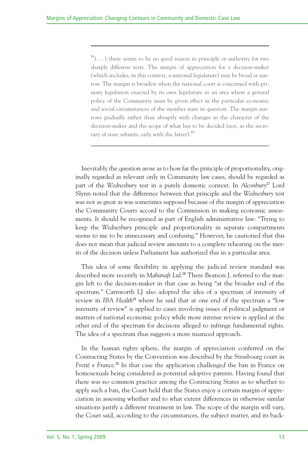$\mathfrak{m}$ (...) there seems to be no good reason in principle or authority for two sharply different tests. The margin of appreciation for a decision-maker (which includes, in this context, a national legislature) may be broad or narrow. The margin is broadest when the national court is concerned with primary legislation enacted by its own legislature in an area where a general policy of the Community must be given effect in the particular economic and social circumstances of the member state in question. The margin narrows gradually rather than abruptly with changes in the character of the decision-maker and the scope of what has to be decided (not, as the secretary of state submits, only with the latter)."

Inevitably the question arose as to how far the principle of proportionality, originally regarded as relevant only in Community law cases, should be regarded as part of the *Wednesbury* test in a purely domestic context. In Alconbury<sup>27</sup> Lord Slynn noted that the difference between that principle and the *Wednesbury* test was not as great as was sometimes supposed because of the margin of appreciation the Community Courts accord to the Commission in making economic assessments. It should be recognized as part of English administrative law: "Trying to keep the *Wednesbury* principle and proportionality in separate compartments seems to me to be unnecessary and confusing." However, he cautioned that this does not mean that judicial review amounts to a complete rehearing on the merits of the decision unless Parliament has authorized this in a particular area.

This idea of some flexibility in applying the judicial review standard was described more recently in *Mabanaft Ltd*. <sup>28</sup> There Beatson J. referred to the margin left to the decision-maker in that case as being "at the broader end of the spectrum." Carnworth LJ also adopted the idea of a spectrum of intensity of review in *IBA Health*<sup>29</sup> where he said that at one end of the spectrum a "low intensity of review" is applied to cases involving issues of political judgment or matters of national economic policy while more intense review is applied at the other end of the spectrum for decisions alleged to infringe fundamental rights. The idea of a spectrum thus suggests a more nuanced approach.

In the human rights sphere, the margin of appreciation conferred on the Contracting States by the Convention was described by the Strasbourg court in *Fretté v France*. <sup>30</sup> In that case the application challenged the ban in France on homosexuals being considered as potential adoptive parents. Having found that there was no common practice among the Contracting States as to whether to apply such a ban, the Court held that the States enjoy a certain margin of appreciation in assessing whether and to what extent differences in otherwise similar situations justify a different treatment in law. The scope of the margin will vary, the Court said, according to the circumstances, the subject matter, and its back-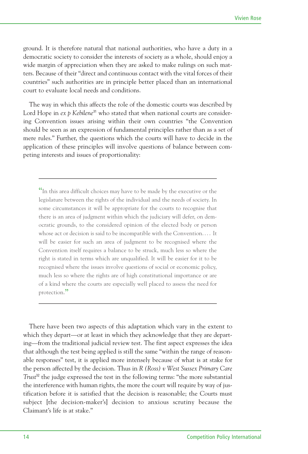ground. It is therefore natural that national authorities, who have a duty in a democratic society to consider the interests of society as a whole, should enjoy a wide margin of appreciation when they are asked to make rulings on such matters. Because of their "direct and continuous contact with the vital forces of their countries" such authorities are in principle better placed than an international court to evaluate local needs and conditions.

The way in which this affects the role of the domestic courts was described by Lord Hope in *ex p Kebilene*<sup>31</sup> who stated that when national courts are considering Convention issues arising within their own countries "the Convention should be seen as an expression of fundamental principles rather than as a set of mere rules." Further, the questions which the courts will have to decide in the application of these principles will involve questions of balance between competing interests and issues of proportionality:

"In this area difficult choices may have to be made by the executive or the legislature between the rights of the individual and the needs of society. In some circumstances it will be appropriate for the courts to recognise that there is an area of judgment within which the judiciary will defer, on democratic grounds, to the considered opinion of the elected body or person whose act or decision is said to be incompatible with the Convention.... It will be easier for such an area of judgment to be recognised where the Convention itself requires a balance to be struck, much less so where the right is stated in terms which are unqualified. It will be easier for it to be recognised where the issues involve questions of social or economic policy, much less so where the rights are of high constitutional importance or are of a kind where the courts are especially well placed to assess the need for protection."

There have been two aspects of this adaptation which vary in the extent to which they depart—or at least in which they acknowledge that they are departing—from the traditional judicial review test. The first aspect expresses the idea that although the test being applied is still the same "within the range of reasonable responses" test, it is applied more intensely because of what is at stake for the person affected by the decision. Thus in *R (Ross) v West Sussex Primary Care Trust* <sup>32</sup> the judge expressed the test in the following terms: "the more substantial the interference with human rights, the more the court will require by way of justification before it is satisfied that the decision is reasonable; the Courts must subject [the decision-maker's] decision to anxious scrutiny because the Claimant's life is at stake."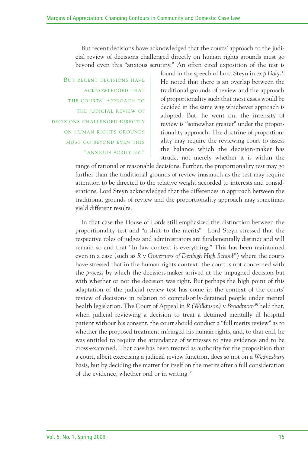But recent decisions have acknowledged that the courts' approach to the judicial review of decisions challenged directly on human rights grounds must go beyond even this "anxious scrutiny." An often cited exposition of the test is

BUT RECENT DECISIONS HAVE ACKNOWLEDGED THAT THE COURTS' APPROACH TO THE JUDICIAL REVIEW OF DECISIONS CHALLENGED DIRECTLY ON HUMAN RIGHTS GROUNDS MUST GO BEYOND EVEN THIS "ANXIOUS SCRUTINY."

found in the speech of Lord Steyn in *ex p Daly*. 33 He noted that there is an overlap between the traditional grounds of review and the approach of proportionality such that most cases would be decided in the same way whichever approach is adopted. But, he went on, the intensity of review is "somewhat greater" under the proportionality approach. The doctrine of proportionality may require the reviewing court to assess the balance which the decision-maker has struck, not merely whether it is within the

range of rational or reasonable decisions. Further, the proportionality test may go further than the traditional grounds of review inasmuch as the test may require attention to be directed to the relative weight accorded to interests and considerations. Lord Steyn acknowledged that the differences in approach between the traditional grounds of review and the proportionality approach may sometimes yield different results.

In that case the House of Lords still emphasized the distinction between the proportionality test and "a shift to the merits"—Lord Steyn stressed that the respective roles of judges and administrators are fundamentally distinct and will remain so and that "In law context is everything." This has been maintained even in a case (such as *R* v *Governors of Denbigh High School* 34 ) where the courts have stressed that in the human rights context, the court is not concerned with the *process* by which the decision-maker arrived at the impugned decision but with whether or not the decision was right. But perhaps the high point of this adaptation of the judicial review test has come in the context of the courts' review of decisions in relation to compulsorily-detained people under mental health legislation. The Court of Appeal in *R (Wilkinson)* v *Broadmoor* <sup>35</sup> held that, when judicial reviewing a decision to treat a detained mentally ill hospital patient without his consent, the court should conduct a "full merits review" as to whether the proposed treatment infringed his human rights, and, to that end, he was entitled to require the attendance of witnesses to give evidence and to be cross-examined. That case has been treated as authority for the proposition that a court, albeit exercising a judicial review function, does so not on a *Wednesbury* basis, but by deciding the matter for itself on the merits after a full consideration of the evidence, whether oral or in writing. 36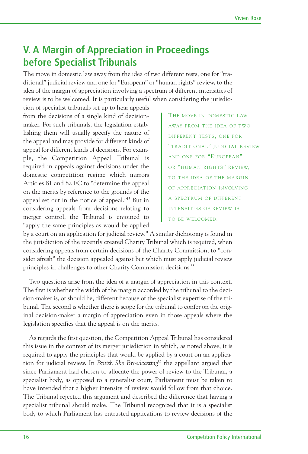### **V. A Margin of Appreciation in Proceedings before Specialist Tribunals**

The move in domestic law away from the idea of two different tests, one for "traditional" judicial review and one for "European" or "human rights" review, to the idea of the margin of appreciation involving a spectrum of different intensities of review is to be welcomed. It is particularly useful when considering the jurisdic-

tion of specialist tribunals set up to hear appeals from the decisions of a single kind of decisionmaker. For such tribunals, the legislation establishing them will usually specify the nature of the appeal and may provide for different kinds of appeal for different kinds of decisions. For example, the Competition Appeal Tribunal is required in appeals against decisions under the domestic competition regime which mirrors Articles 81 and 82 EC to "determine the appeal on the merits by reference to the grounds of the appeal set out in the notice of appeal."<sup>37</sup> But in considering appeals from decisions relating to merger control, the Tribunal is enjoined to "apply the same principles as would be applied

THE MOVE IN DOMESTIC LAW AWAY FROM THE IDEA OF TWO DIFFERENT TESTS, ONE FOR "TRADITIONAL" JUDICIAL REVIEW AND ONE FOR "EUROPEAN" OR "HUMAN RIGHTS" REVIEW, TO THE IDEA OF THE MARGIN OF APPRECIATION INVOLVING A SPECTRUM OF DIFFERENT INTENSITIES OF REVIEW IS TO BE WELCOMED.

by a court on an application for judicial review." A similar dichotomy is found in the jurisdiction of the recently created Charity Tribunal which is required, when considering appeals from certain decisions of the Charity Commission, to "consider afresh" the decision appealed against but which must apply judicial review principles in challenges to other Charity Commission decisions. 38

Two questions arise from the idea of a margin of appreciation in this context. The first is whether the width of the margin accorded by the tribunal to the decision-maker is, or should be, different because of the specialist expertise of the tribunal. The second is whether there is scope for the tribunal to confer on the original decision-maker a margin of appreciation even in those appeals where the legislation specifies that the appeal is on the merits.

As regards the first question, the Competition Appeal Tribunal has considered this issue in the context of its merger jurisdiction in which, as noted above, it is required to apply the principles that would be applied by a court on an application for judicial review. In *British Sky Broadcasting*<sup>39</sup> the appellant argued that since Parliament had chosen to allocate the power of review to the Tribunal, a specialist body, as opposed to a generalist court, Parliament must be taken to have intended that a higher intensity of review would follow from that choice. The Tribunal rejected this argument and described the difference that having a specialist tribunal should make. The Tribunal recognized that it is a specialist body to which Parliament has entrusted applications to review decisions of the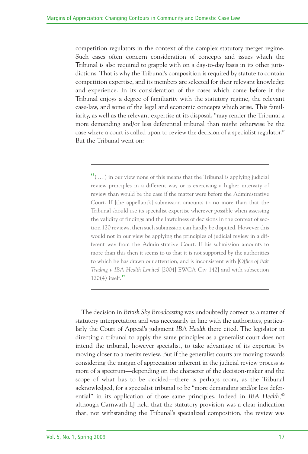competition regulators in the context of the complex statutory merger regime. Such cases often concern consideration of concepts and issues which the Tribunal is also required to grapple with on a day-to-day basis in its other jurisdictions. That is why the Tribunal's composition is required by statute to contain competition expertise, and its members are selected for their relevant knowledge and experience. In its consideration of the cases which come before it the Tribunal enjoys a degree of familiarity with the statutory regime, the relevant case-law, and some of the legal and economic concepts which arise. This familiarity, as well as the relevant expertise at its disposal, "may render the Tribunal a more demanding and/or less deferential tribunal than might otherwise be the case where a court is called upon to review the decision of a specialist regulator." But the Tribunal went on:

 $\mathfrak{m}(\dots)$  in our view none of this means that the Tribunal is applying judicial review principles in a different way or is exercising a higher intensity of review than would be the case if the matter were before the Administrative Court. If [the appellant's] submission amounts to no more than that the Tribunal should use its specialist expertise wherever possible when assessing the validity of findings and the lawfulness of decisions in the context of section 120 reviews, then such submission can hardly be disputed. However this would not in our view be applying the principles of judicial review in a different way from the Administrative Court. If his submission amounts to more than this then it seems to us that it is not supported by the authorities to which he has drawn our attention, and is inconsistent with [*Office of Fair Trading v IBA Health Limited* [2004] EWCA Civ 142] and with subsection  $120(4)$  itself."

The decision in *British Sky Broadcasting* was undoubtedly correct as a matter of statutory interpretation and was necessarily in line with the authorities, particularly the Court of Appeal's judgment *IBA Health* there cited. The legislator in directing a tribunal to apply the same principles as a generalist court does not intend the tribunal, however specialist, to take advantage of its expertise by moving closer to a merits review. But if the generalist courts are moving towards considering the margin of appreciation inherent in the judicial review process as more of a spectrum—depending on the character of the decision-maker and the scope of what has to be decided—there is perhaps room, as the Tribunal acknowledged, for a specialist tribunal to be "more demanding and/or less deferential" in its application of those same principles. Indeed in *IBA Health,* 40 although Carnwath LJ held that the statutory provision was a clear indication that, not withstanding the Tribunal's specialized composition, the review was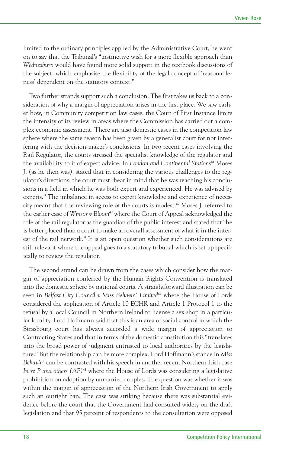limited to the ordinary principles applied by the Administrative Court, he went on to say that the Tribunal's "instinctive wish for a more flexible approach than *Wednesbury* would have found more solid support in the textbook discussions of the subject, which emphasise the flexibility of the legal concept of 'reasonableness' dependent on the statutory context."

Two further strands support such a conclusion. The first takes us back to a consideration of why a margin of appreciation arises in the first place. We saw earlier how, in Community competition law cases, the Court of First Instance limits the intensity of its review in areas where the Commission has carried out a complex economic assessment. There are also domestic cases in the competition law sphere where the same reason has been given by a generalist court for not interfering with the decision-maker's conclusions. In two recent cases involving the Rail Regulator, the courts stressed the specialist knowledge of the regulator and the availability to it of expert advice. In *London and Continental Stations* <sup>41</sup> Moses J. (as he then was), stated that in considering the various challenges to the regulator's directions, the court must "bear in mind that he was reaching his conclusions in a field in which he was both expert and experienced. He was advised by experts." The imbalance in access to expert knowledge and experience of necessity meant that the reviewing role of the courts is modest.<sup>42</sup> Moses I. referred to the earlier case of *Winsor v Bloom*<sup>43</sup> where the Court of Appeal acknowledged the role of the rail regulator as the guardian of the public interest and stated that "he is better placed than a court to make an overall assessment of what is in the interest of the rail network." It is an open question whether such considerations are still relevant where the appeal goes to a statutory tribunal which is set up specifically to review the regulator.

The second strand can be drawn from the cases which consider how the margin of appreciation conferred by the Human Rights Convention is translated into the domestic sphere by national courts. A straightforward illustration can be seen in *Belfast City Council v Miss Behavin' Limited*<sup>44</sup> where the House of Lords considered the application of Article 10 ECHR and Article 1 Protocol 1 to the refusal by a local Council in Northern Ireland to license a sex shop in a particular locality. Lord Hoffmann said that this is an area of social control in which the Strasbourg court has always accorded a wide margin of appreciation to Contracting States and that in terms of the domestic constitution this "translates into the broad power of judgment entrusted to local authorities by the legislature." But the relationship can be more complex. Lord Hoffmann's stance in *Miss Behavin'* can be contrasted with his speech in another recent Northern Irish case *In re P and others (AP)*<sup>45</sup> where the House of Lords was considering a legislative prohibition on adoption by unmarried couples. The question was whether it was within the margin of appreciation of the Northern Irish Government to apply such an outright ban. The case was striking because there was substantial evidence before the court that the Government had consulted widely on the draft legislation and that 95 percent of respondents to the consultation were opposed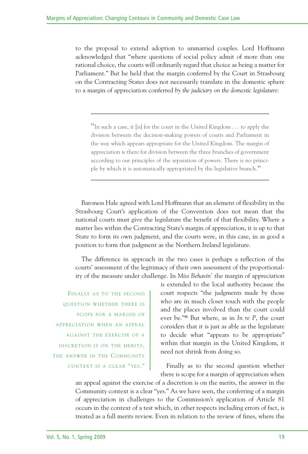to the proposal to extend adoption to unmarried couples. Lord Hoffmann acknowledged that "where questions of social policy admit of more than one rational choice, the courts will ordinarily regard that choice as being a matter for Parliament." But he held that the margin conferred by the Court in Strasbourg on the Contracting States does not necessarily translate in the domestic sphere to a margin of appreciation conferred *by the judiciary on the domestic legislature*:

 $\mathfrak{a}_n$  In such a case, it [is] for the court in the United Kingdom  $\dots$  to apply the division between the decision-making powers of courts and Parliament in the way which appears appropriate for the United Kingdom. The margin of appreciation is there for division between the three branches of government according to our principles of the separation of powers. There is no principle by which it is automatically appropriated by the legislative branch."

Baroness Hale agreed with Lord Hoffmann that an element of flexibility in the Strasbourg Court's application of the Convention does not mean that the national courts must give the legislature the benefit of that flexibility. Where a matter lies within the Contracting State's margin of appreciation, it is up to that State to form its own judgment, and the courts were, in this case, in as good a position to form that judgment as the Northern Ireland legislature.

The difference in approach in the two cases is perhaps a reflection of the courts' assessment of the legitimacy of their own assessment of the proportionality of the measure under challenge. In *Miss Behavin'* the margin of appreciation

FINALLY AS TO THE SECOND QUESTION WHETHER THERE IS SCOPE FOR A MARGIN OF APPRECIATION WHEN AN APPEAL AGAINST THE EXERCISE OF A DISCRETION IS ON THE MERITS, THE ANSWER IN THE COMMUNITY CONTEXT IS A CLEAR "YES."

is extended to the local authority because the court respects "the judgments made by those who are in much closer touch with the people and the places involved than the court could ever be."<sup>46</sup> But where, as in *In re P*, the court considers that it is just as able as the legislature to decide what "appears to be appropriate" within that margin in the United Kingdom, it need not shrink from doing so.

Finally as to the second question whether there is scope for a margin of appreciation when

an appeal against the exercise of a discretion is on the merits, the answer in the Community context is a clear "yes." As we have seen, the conferring of a margin of appreciation in challenges to the Commission's application of Article 81 occurs in the context of a test which, in other respects including errors of fact, is treated as a full merits review. Even in relation to the review of fines, where the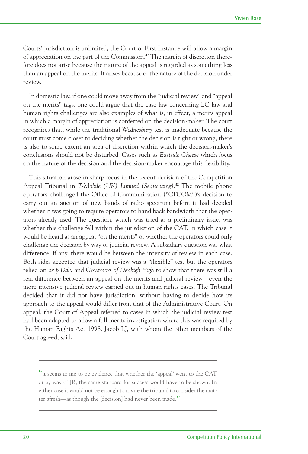Courts' jurisdiction is unlimited, the Court of First Instance will allow a margin of appreciation on the part of the Commission. <sup>47</sup> The margin of discretion therefore does not arise because the nature of the appeal is regarded as something less than an appeal on the merits. It arises because of the nature of the decision under review.

In domestic law, if one could move away from the "judicial review" and "appeal on the merits" tags, one could argue that the case law concerning EC law and human rights challenges are also examples of what is, in effect, a merits appeal in which a margin of appreciation is conferred on the decision-maker. The court recognizes that, while the traditional *Wednesbury* test is inadequate because the court must come closer to deciding whether the decision is right or wrong, there is also to some extent an area of discretion within which the decision-maker's conclusions should not be disturbed. Cases such as *Eastside Cheese* which focus on the nature of the decision and the decision-maker encourage this flexibility.

This situation arose in sharp focus in the recent decision of the Competition Appeal Tribunal in *T-Mobile (UK) Limited (Sequencing)*. <sup>48</sup> The mobile phone operators challenged the Office of Communication ("OFCOM")'s decision to carry out an auction of new bands of radio spectrum before it had decided whether it was going to require operators to hand back bandwidth that the operators already used. The question, which was tried as a preliminary issue, was whether this challenge fell within the jurisdiction of the CAT, in which case it would be heard as an appeal "on the merits" or whether the operators could only challenge the decision by way of judicial review. A subsidiary question was what difference, if any, there would be between the intensity of review in each case. Both sides accepted that judicial review was a "flexible" test but the operators relied on *ex p Daly* and *Governors of Denbigh High* to show that there was still a real difference between an appeal on the merits and judicial review—even the more intensive judicial review carried out in human rights cases. The Tribunal decided that it did not have jurisdiction, without having to decide how its approach to the appeal would differ from that of the Administrative Court. On appeal, the Court of Appeal referred to cases in which the judicial review test had been adapted to allow a full merits investigation where this was required by the Human Rights Act 1998. Jacob LJ, with whom the other members of the Court agreed, said:

<sup>&</sup>quot;it seems to me to be evidence that whether the 'appeal' went to the CAT or by way of JR, the same standard for success would have to be shown. In either case it would not be enough to invite the tribunal to consider the matter afresh—as though the [decision] had never been made."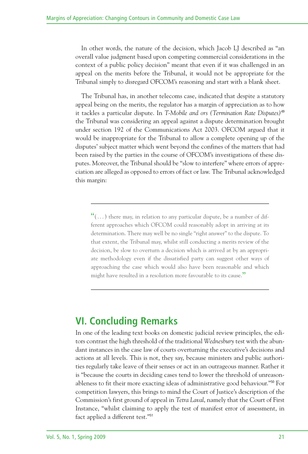In other words, the nature of the decision, which Jacob LJ described as "an overall value judgment based upon competing commercial considerations in the context of a public policy decision" meant that even if it was challenged in an appeal on the merits before the Tribunal, it would not be appropriate for the Tribunal simply to disregard OFCOM's reasoning and start with a blank sheet.

The Tribunal has, in another telecoms case, indicated that despite a statutory appeal being on the merits, the regulator has a margin of appreciation as to how it tackles a particular dispute. In *T-Mobile and ors (Termination Rate Disputes)*<sup>49</sup> the Tribunal was considering an appeal against a dispute determination brought under section 192 of the Communications Act 2003. OFCOM argued that it would be inappropriate for the Tribunal to allow a complete opening up of the disputes' subject matter which went beyond the confines of the matters that had been raised by the parties in the course of OFCOM's investigations of these disputes. Moreover, the Tribunal should be "slow to interfere" where errors of appreciation are alleged as opposed to errors of fact or law. The Tribunal acknowledged this margin:

 $\mathfrak{m}(\ldots)$  there may, in relation to any particular dispute, be a number of different approaches which OFCOM could reasonably adopt in arriving at its determination. There may well be no single "right answer" to the dispute. To that extent, the Tribunal may, whilst still conducting a merits review of the decision, be slow to overturn a decision which is arrived at by an appropriate methodology even if the dissatisfied party can suggest other ways of approaching the case which would also have been reasonable and which might have resulted in a resolution more favourable to its cause."

## **VI. Concluding Remarks**

In one of the leading text books on domestic judicial review principles, the editors contrast the high threshold of the traditional *Wednesbury* test with the abundant instances in the case law of courts overturning the executive's decisions and actions at all levels. This is not, they say, because ministers and public authorities regularly take leave of their senses or act in an outrageous manner. Rather it is "because the courts in deciding cases tend to lower the threshold of unreasonableness to fit their more exacting ideas of administrative good behaviour."<sup>50</sup> For competition lawyers, this brings to mind the Court of Justice's description of the Commission's first ground of appeal in *Tetra Laval*, namely that the Court of First Instance, "whilst claiming to apply the test of manifest error of assessment, in fact applied a different test."<sup>51</sup>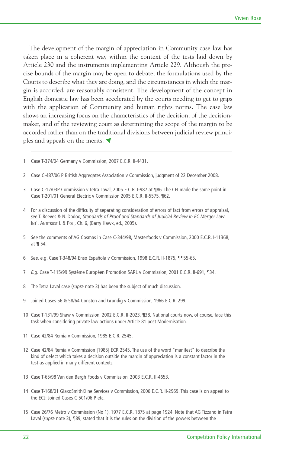The development of the margin of appreciation in Community case law has taken place in a coherent way within the context of the tests laid down by Article 230 and the instruments implementing Article 229. Although the precise bounds of the margin may be open to debate, the formulations used by the Courts to describe what they are doing, and the circumstances in which the margin is accorded, are reasonably consistent. The development of the concept in English domestic law has been accelerated by the courts needing to get to grips with the application of Community and human rights norms. The case law shows an increasing focus on the characteristics of the decision, of the decisionmaker, and of the reviewing court as determining the scope of the margin to be accorded rather than on the traditional divisions between judicial review principles and appeals on the merits. ▼

- 1 Case T-374/04 Germany v Commission, 2007 E.C.R. II-4431.
- 2 Case C-487/06 P British Aggregates Association v Commission, judgment of 22 December 2008.
- 3 Case C-12/03P Commission v Tetra Laval, 2005 E.C.R. I-987 at ¶86. The CFI made the same point in Case T-201/01 General Electric v Commission 2005 E.C.R. II-5575, ¶62.
- 4 For a discussion of the difficulty of separating consideration of errors of fact from errors of appraisal, *see* T. Reeves & N. Dodoo, *Standards of Proof and Standards of Judicial Review in EC Merger Law*, INT'L ANTITRUST L & POL., Ch. 6, (Barry Hawk, ed., 2005).
- 5 *See* the comments of AG Cosmas in Case C-344/98, Masterfoods v Commission, 2000 E.C.R. I-11368, at ¶ 54.
- 6 *See*, *e.g*. Case T-348/94 Enso Española v Commission, 1998 E.C.R. II-1875, ¶¶55-65.
- 7 *E.g*. Case T-115/99 Système Européen Promotion SARL v Commission, 2001 E.C.R. II-691, ¶34.
- 8 The Tetra Laval case (*supra* note 3) has been the subject of much discussion.
- 9 Joined Cases 56 & 58/64 Consten and Grundig v Commission, 1966 E.C.R. 299.
- 10 Case T-131/99 Shaw v Commission, 2002 E.C.R. II-2023, ¶38. National courts now, of course, face this task when considering private law actions under Article 81 post Modernisation.
- 11 Case 42/84 Remia v Commission, 1985 E.C.R. 2545.
- 12 Case 42/84 Remia v Commission [1985] ECR 2545. The use of the word "manifest" to describe the kind of defect which takes a decision outside the margin of appreciation is a constant factor in the test as applied in many different contexts.
- 13 Case T-65/98 Van den Bergh Foods v Commission, 2003 E.C.R. II-4653.
- 14 Case T-168/01 GlaxoSmithKline Services v Commission, 2006 E.C.R. II-2969. This case is on appeal to the ECJ: Joined Cases C-501/06 P etc.
- 15 Case 26/76 Metro v Commission (No 1), 1977 E.C.R. 1875 at page 1924. Note that AG Tizzano in Tetra Laval (*supra* note 3), ¶89, stated that it is the rules on the division of the powers between the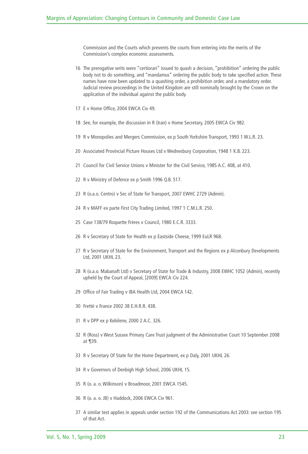Commission and the Courts which prevents the courts from entering into the merits of the Commission's complex economic assessments.

- The prerogative writs were "certiorari" issued to quash a decision, "prohibition" ordering the public body not to do something, and "mandamus" ordering the public body to take specified action. These names have now been updated to a quashing order, a prohibition order, and a mandatory order. Judicial review proceedings in the United Kingdom are still nominally brought by the Crown on the application of the individual against the public body.
- E v Home Office, 2004 EWCA Civ 49.
- *See*, for example, the discussion in R (Iran) v Home Secretary, 2005 EWCA Civ 982.
- R v Monopolies and Mergers Commission, ex p South Yorkshire Transport, 1993 1 W.L.R. 23.
- Associated Provincial Picture Houses Ltd v Wednesbury Corporation, 1948 1 K.B. 223.
- Council for Civil Service Unions v Minister for the Civil Service, 1985 A.C. 408, at 410.
- R v Ministry of Defence ex p Smith 1996 Q.B. 517.
- R (o.a.o. Centro) v Sec of State for Transport, 2007 EWHC 2729 (Admin).
- R v MAFF ex parte First City Trading Limited, 1997 1 C.M.L.R. 250.
- Case 138/79 Roquette Frères v Council, 1980 E.C.R. 3333.
- R v Secretary of State for Health ex p Eastside Cheese, 1999 EuLR 968.
- R v Secretary of State for the Environment, Transport and the Regions ex p Alconbury Developments Ltd, 2001 UKHL 23.
- R (o.a.o. Mabanaft Ltd) v Secretary of State for Trade & Industry, 2008 EWHC 1052 (Admin), recently upheld by the Court of Appeal, [2009] EWCA Civ 224.
- Office of Fair Trading v IBA Health Ltd, 2004 EWCA 142.
- Fretté v France 2002 38 E.H.R.R. 438.
- R v DPP ex p Kebilene, 2000 2 A.C. 326.
- R (Ross) v West Sussex Primary Care Trust judgment of the Administrative Court 10 September 2008 at ¶39.
- R v Secretary Of State for the Home Department, ex p Daly, 2001 UKHL 26.
- R v Governors of Denbigh High School, 2006 UKHL 15.
- R (o. a. o. Wilkinson) v Broadmoor, 2001 EWCA 1545.
- R (o. a. o. JB) v Haddock, 2006 EWCA Civ 961.
- A similar test applies in appeals under section 192 of the Communications Act 2003: see section 195 of that Act.